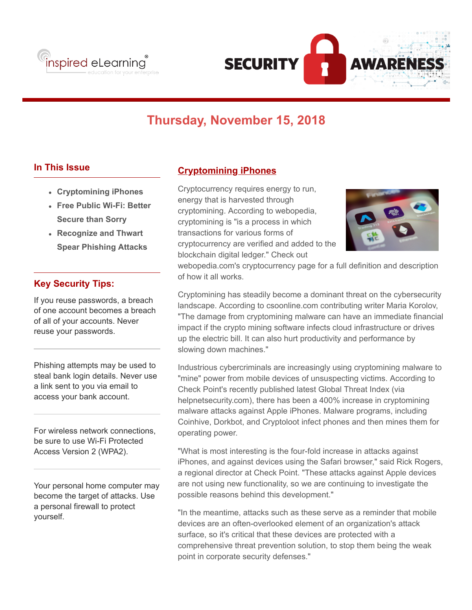



# **Thursday, November 15, 2018**

#### **In This Issue**

- **Cryptomining iPhones**
- **Free Public Wi-Fi: Better Secure than Sorry**
- **Recognize and Thwart Spear Phishing Attacks**

#### **Key Security Tips:**

If you reuse passwords, a breach of one account becomes a breach of all of your accounts. Never reuse your passwords.

Phishing attempts may be used to steal bank login details. Never use a link sent to you via email to access your bank account.

For wireless network connections, be sure to use Wi-Fi Protected Access Version 2 (WPA2).

Your personal home computer may become the target of attacks. Use a personal firewall to protect yourself.

#### **Cryptomining iPhones**

Cryptocurrency requires energy to run, energy that is harvested through cryptomining. According to webopedia, cryptomining is "is a process in which transactions for various forms of cryptocurrency are verified and added to the blockchain digital ledger." Check out



webopedia.com's cryptocurrency page for a full definition and description of how it all works.

Cryptomining has steadily become a dominant threat on the cybersecurity landscape. According to csoonline.com contributing writer Maria Korolov, "The damage from cryptomining malware can have an immediate financial impact if the crypto mining software infects cloud infrastructure or drives up the electric bill. It can also hurt productivity and performance by slowing down machines."

Industrious cybercriminals are increasingly using cryptomining malware to "mine" power from mobile devices of unsuspecting victims. According to Check Point's recently published latest Global Threat Index (via helpnetsecurity.com), there has been a 400% increase in cryptomining malware attacks against Apple iPhones. Malware programs, including Coinhive, Dorkbot, and Cryptoloot infect phones and then mines them for operating power.

"What is most interesting is the four-fold increase in attacks against iPhones, and against devices using the Safari browser," said Rick Rogers, a regional director at Check Point. "These attacks against Apple devices are not using new functionality, so we are continuing to investigate the possible reasons behind this development."

"In the meantime, attacks such as these serve as a reminder that mobile devices are an often-overlooked element of an organization's attack surface, so it's critical that these devices are protected with a comprehensive threat prevention solution, to stop them being the weak point in corporate security defenses."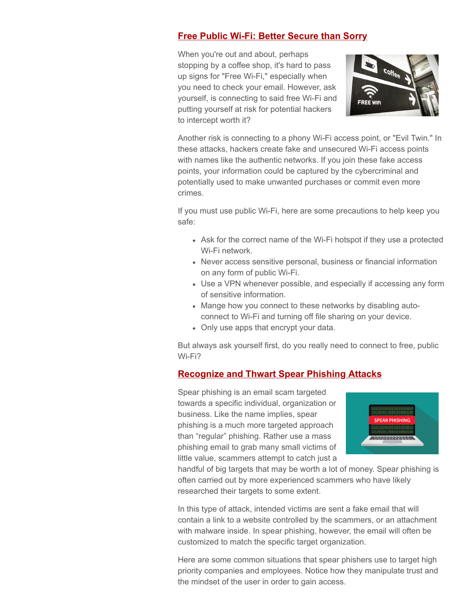### **Free Public Wi-Fi: Better Secure than Sorry**

When you're out and about, perhaps stopping by a coffee shop, it's hard to pass up signs for "Free Wi-Fi," especially when you need to check your email. However, ask yourself, is connecting to said free Wi-Fi and putting yourself at risk for potential hackers to intercept worth it?



Another risk is connecting to a phony Wi-Fi access point, or "Evil Twin." In these attacks, hackers create fake and unsecured Wi-Fi access points with names like the authentic networks. If you join these fake access points, your information could be captured by the cybercriminal and potentially used to make unwanted purchases or commit even more crimes.

If you must use public Wi-Fi, here are some precautions to help keep you safe:

- Ask for the correct name of the Wi-Fi hotspot if they use a protected Wi-Fi network.
- Never access sensitive personal, business or financial information on any form of public Wi-Fi.
- Use a VPN whenever possible, and especially if accessing any form of sensitive information.
- Mange how you connect to these networks by disabling autoconnect to Wi-Fi and turning off file sharing on your device.
- Only use apps that encrypt your data.

But always ask yourself first, do you really need to connect to free, public Wi-Fi?

## **Recognize and Thwart Spear Phishing Attacks**

Spear phishing is an email scam targeted towards a specific individual, organization or business. Like the name implies, spear phishing is a much more targeted approach than "regular" phishing. Rather use a mass phishing email to grab many small victims of little value, scammers attempt to catch just a



handful of big targets that may be worth a lot of money. Spear phishing is often carried out by more experienced scammers who have likely researched their targets to some extent.

In this type of attack, intended victims are sent a fake email that will contain a link to a website controlled by the scammers, or an attachment with malware inside. In spear phishing, however, the email will often be customized to match the specific target organization.

Here are some common situations that spear phishers use to target high priority companies and employees. Notice how they manipulate trust and the mindset of the user in order to gain access.